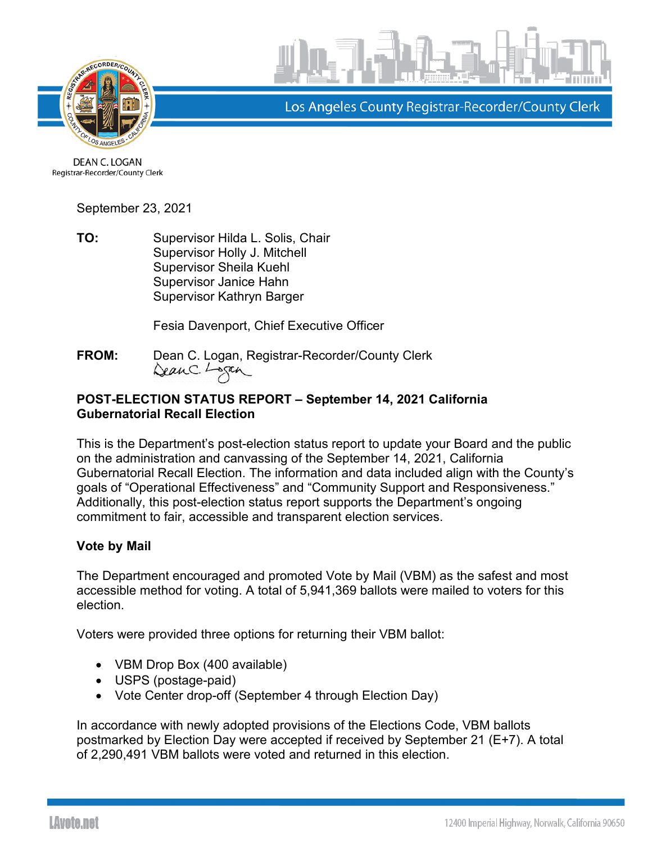



Los Angeles County Registrar-Recorder/County Clerk

DEAN C. LOGAN Registrar-Recorder/County Clerk

September 23, 2021

**TO:** Supervisor Hilda L. Solis, Chair Supervisor Holly J. Mitchell Supervisor Sheila Kuehl Supervisor Janice Hahn Supervisor Kathryn Barger

Fesia Davenport, Chief Executive Officer

**FROM:** Dean C. Logan, Registrar-Recorder/County Clerk DeanC. Logan

## **POST-ELECTION STATUS REPORT – September 14, 2021 California Gubernatorial Recall Election**

This is the Department's post-election status report to update your Board and the public on the administration and canvassing of the September 14, 2021, California Gubernatorial Recall Election. The information and data included align with the County's goals of "Operational Effectiveness" and "Community Support and Responsiveness." Additionally, this post-election status report supports the Department's ongoing commitment to fair, accessible and transparent election services.

# **Vote by Mail**

The Department encouraged and promoted Vote by Mail (VBM) as the safest and most accessible method for voting. A total of 5,941,369 ballots were mailed to voters for this election.

Voters were provided three options for returning their VBM ballot:

- VBM Drop Box (400 available)
- USPS (postage-paid)
- Vote Center drop-off (September 4 through Election Day)

In accordance with newly adopted provisions of the Elections Code, VBM ballots postmarked by Election Day were accepted if received by September 21 (E+7). A total of 2,290,491 VBM ballots were voted and returned in this election.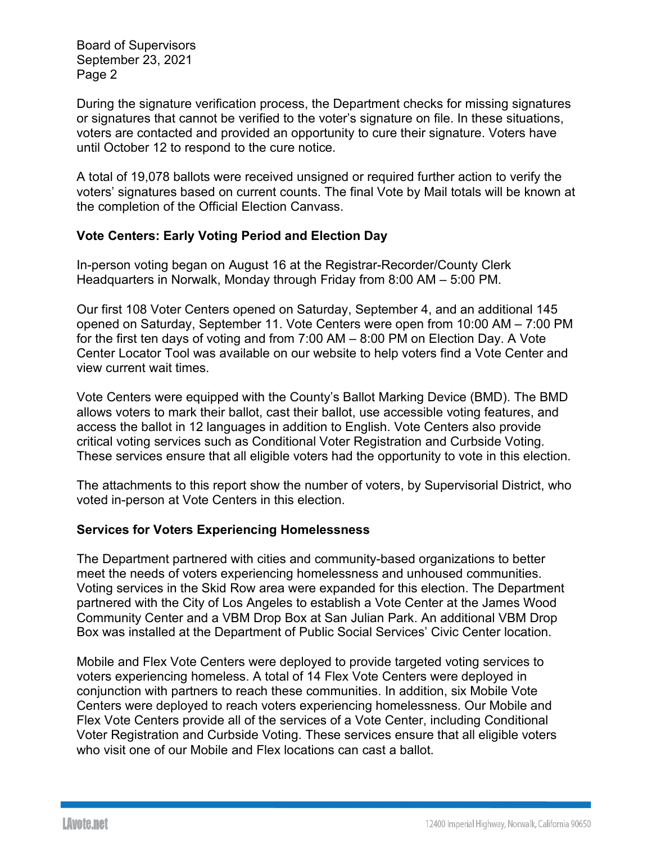During the signature verification process, the Department checks for missing signatures or signatures that cannot be verified to the voter's signature on file. In these situations, voters are contacted and provided an opportunity to cure their signature. Voters have until October 12 to respond to the cure notice.

A total of 19,078 ballots were received unsigned or required further action to verify the voters' signatures based on current counts. The final Vote by Mail totals will be known at the completion of the Official Election Canvass.

## **Vote Centers: Early Voting Period and Election Day**

In-person voting began on August 16 at the Registrar-Recorder/County Clerk Headquarters in Norwalk, Monday through Friday from 8:00 AM – 5:00 PM.

Our first 108 Voter Centers opened on Saturday, September 4, and an additional 145 opened on Saturday, September 11. Vote Centers were open from 10:00 AM – 7:00 PM for the first ten days of voting and from 7:00 AM – 8:00 PM on Election Day. A Vote Center Locator Tool was available on our website to help voters find a Vote Center and view current wait times.

Vote Centers were equipped with the County's Ballot Marking Device (BMD). The BMD allows voters to mark their ballot, cast their ballot, use accessible voting features, and access the ballot in 12 languages in addition to English. Vote Centers also provide critical voting services such as Conditional Voter Registration and Curbside Voting. These services ensure that all eligible voters had the opportunity to vote in this election.

The attachments to this report show the number of voters, by Supervisorial District, who voted in-person at Vote Centers in this election.

### **Services for Voters Experiencing Homelessness**

The Department partnered with cities and community-based organizations to better meet the needs of voters experiencing homelessness and unhoused communities. Voting services in the Skid Row area were expanded for this election. The Department partnered with the City of Los Angeles to establish a Vote Center at the James Wood Community Center and a VBM Drop Box at San Julian Park. An additional VBM Drop Box was installed at the Department of Public Social Services' Civic Center location.

Mobile and Flex Vote Centers were deployed to provide targeted voting services to voters experiencing homeless. A total of 14 Flex Vote Centers were deployed in conjunction with partners to reach these communities. In addition, six Mobile Vote Centers were deployed to reach voters experiencing homelessness. Our Mobile and Flex Vote Centers provide all of the services of a Vote Center, including Conditional Voter Registration and Curbside Voting. These services ensure that all eligible voters who visit one of our Mobile and Flex locations can cast a ballot.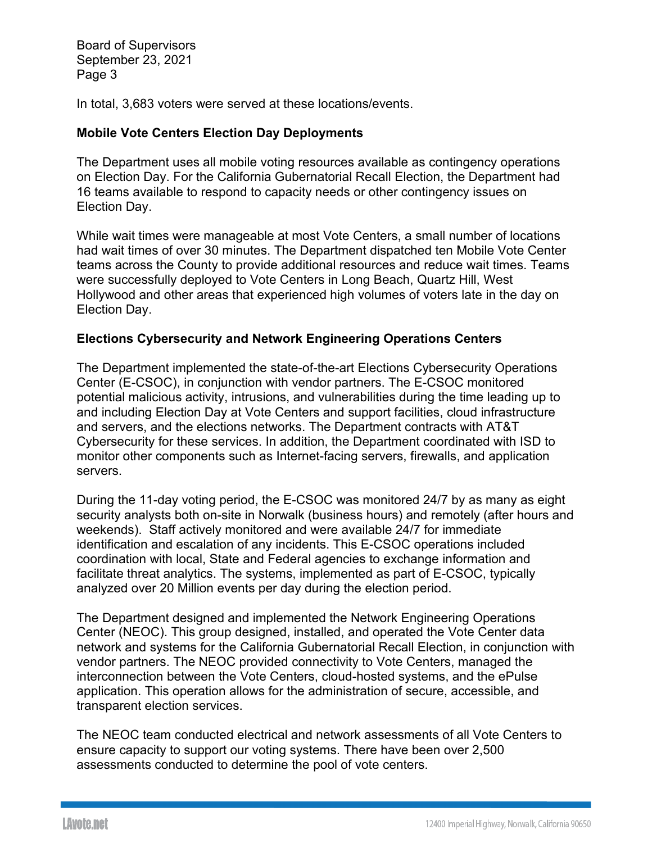In total, 3,683 voters were served at these locations/events.

### **Mobile Vote Centers Election Day Deployments**

The Department uses all mobile voting resources available as contingency operations on Election Day. For the California Gubernatorial Recall Election, the Department had 16 teams available to respond to capacity needs or other contingency issues on Election Day.

While wait times were manageable at most Vote Centers, a small number of locations had wait times of over 30 minutes. The Department dispatched ten Mobile Vote Center teams across the County to provide additional resources and reduce wait times. Teams were successfully deployed to Vote Centers in Long Beach, Quartz Hill, West Hollywood and other areas that experienced high volumes of voters late in the day on Election Day.

### **Elections Cybersecurity and Network Engineering Operations Centers**

The Department implemented the state-of-the-art Elections Cybersecurity Operations Center (E-CSOC), in conjunction with vendor partners. The E-CSOC monitored potential malicious activity, intrusions, and vulnerabilities during the time leading up to and including Election Day at Vote Centers and support facilities, cloud infrastructure and servers, and the elections networks. The Department contracts with AT&T Cybersecurity for these services. In addition, the Department coordinated with ISD to monitor other components such as Internet-facing servers, firewalls, and application servers.

During the 11-day voting period, the E-CSOC was monitored 24/7 by as many as eight security analysts both on-site in Norwalk (business hours) and remotely (after hours and weekends). Staff actively monitored and were available 24/7 for immediate identification and escalation of any incidents. This E-CSOC operations included coordination with local, State and Federal agencies to exchange information and facilitate threat analytics. The systems, implemented as part of E-CSOC, typically analyzed over 20 Million events per day during the election period.

The Department designed and implemented the Network Engineering Operations Center (NEOC). This group designed, installed, and operated the Vote Center data network and systems for the California Gubernatorial Recall Election, in conjunction with vendor partners. The NEOC provided connectivity to Vote Centers, managed the interconnection between the Vote Centers, cloud-hosted systems, and the ePulse application. This operation allows for the administration of secure, accessible, and transparent election services.

The NEOC team conducted electrical and network assessments of all Vote Centers to ensure capacity to support our voting systems. There have been over 2,500 assessments conducted to determine the pool of vote centers.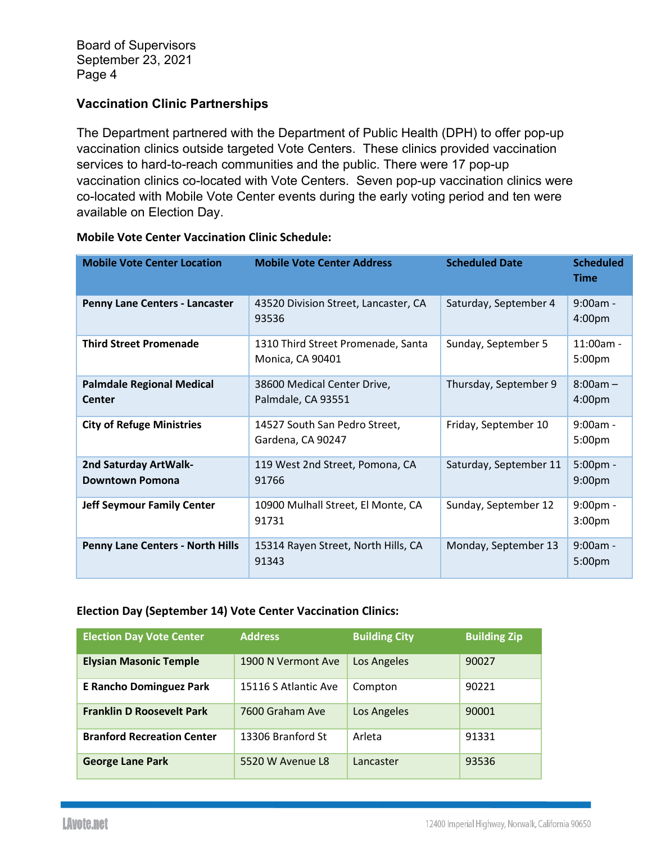## **Vaccination Clinic Partnerships**

The Department partnered with the Department of Public Health (DPH) to offer pop-up vaccination clinics outside targeted Vote Centers. These clinics provided vaccination services to hard-to-reach communities and the public. There were 17 pop-up vaccination clinics co-located with Vote Centers. Seven pop-up vaccination clinics were co-located with Mobile Vote Center events during the early voting period and ten were available on Election Day.

| <b>Mobile Vote Center Location</b>                | <b>Mobile Vote Center Address</b>                      | <b>Scheduled Date</b>  | <b>Scheduled</b><br><b>Time</b>   |
|---------------------------------------------------|--------------------------------------------------------|------------------------|-----------------------------------|
| Penny Lane Centers - Lancaster                    | 43520 Division Street, Lancaster, CA<br>93536          | Saturday, September 4  | $9:00am -$<br>4:00 <sub>pm</sub>  |
| <b>Third Street Promenade</b>                     | 1310 Third Street Promenade, Santa<br>Monica, CA 90401 | Sunday, September 5    | $11:00am -$<br>5:00pm             |
| <b>Palmdale Regional Medical</b><br><b>Center</b> | 38600 Medical Center Drive,<br>Palmdale, CA 93551      | Thursday, September 9  | $8:00am -$<br>4:00pm              |
| <b>City of Refuge Ministries</b>                  | 14527 South San Pedro Street,<br>Gardena, CA 90247     | Friday, September 10   | $9:00am -$<br>5:00pm              |
| 2nd Saturday ArtWalk-<br><b>Downtown Pomona</b>   | 119 West 2nd Street, Pomona, CA<br>91766               | Saturday, September 11 | 5:00pm -<br>9:00 <sub>pm</sub>    |
| <b>Jeff Seymour Family Center</b>                 | 10900 Mulhall Street, El Monte, CA<br>91731            | Sunday, September 12   | $9:00$ pm -<br>3:00 <sub>pm</sub> |
| <b>Penny Lane Centers - North Hills</b>           | 15314 Rayen Street, North Hills, CA<br>91343           | Monday, September 13   | $9:00am -$<br>5:00pm              |

#### **Mobile Vote Center Vaccination Clinic Schedule:**

#### **Election Day (September 14) Vote Center Vaccination Clinics:**

| <b>Election Day Vote Center</b>   | <b>Address</b>       | <b>Building City</b> | <b>Building Zip</b> |
|-----------------------------------|----------------------|----------------------|---------------------|
| <b>Elysian Masonic Temple</b>     | 1900 N Vermont Ave   | Los Angeles          | 90027               |
| <b>E Rancho Dominguez Park</b>    | 15116 S Atlantic Ave | Compton              | 90221               |
| <b>Franklin D Roosevelt Park</b>  | 7600 Graham Ave      | Los Angeles          | 90001               |
| <b>Branford Recreation Center</b> | 13306 Branford St    | Arleta               | 91331               |
| <b>George Lane Park</b>           | 5520 W Avenue L8     | Lancaster            | 93536               |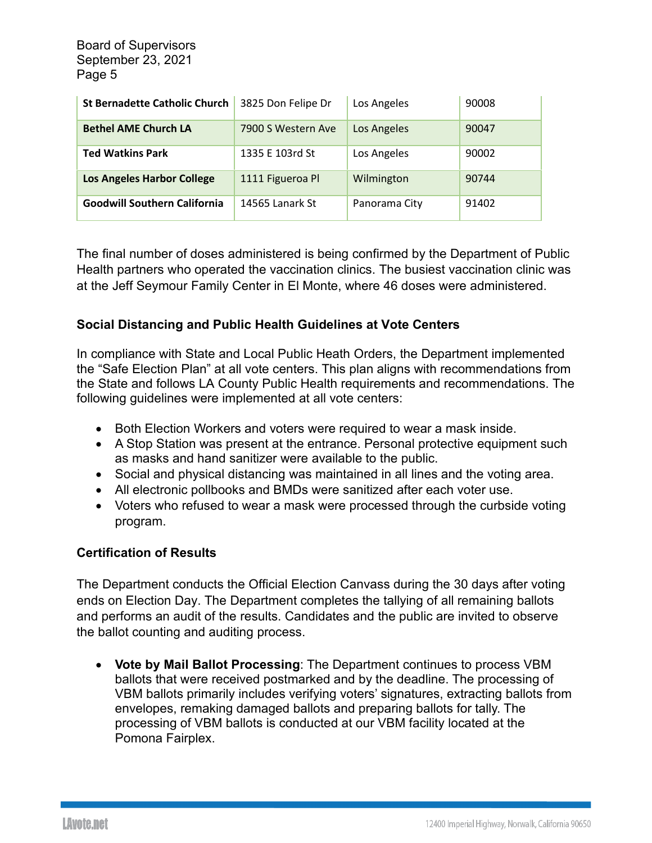| <b>St Bernadette Catholic Church</b> | 3825 Don Felipe Dr | Los Angeles   | 90008 |
|--------------------------------------|--------------------|---------------|-------|
| <b>Bethel AME Church LA</b>          | 7900 S Western Ave | Los Angeles   | 90047 |
| <b>Ted Watkins Park</b>              | 1335 E 103rd St    | Los Angeles   | 90002 |
| <b>Los Angeles Harbor College</b>    | 1111 Figueroa Pl   | Wilmington    | 90744 |
| <b>Goodwill Southern California</b>  | 14565 Lanark St    | Panorama City | 91402 |

The final number of doses administered is being confirmed by the Department of Public Health partners who operated the vaccination clinics. The busiest vaccination clinic was at the Jeff Seymour Family Center in El Monte, where 46 doses were administered.

## **Social Distancing and Public Health Guidelines at Vote Centers**

In compliance with State and Local Public Heath Orders, the Department implemented the "Safe Election Plan" at all vote centers. This plan aligns with recommendations from the State and follows LA County Public Health requirements and recommendations. The following guidelines were implemented at all vote centers:

- Both Election Workers and voters were required to wear a mask inside.
- A Stop Station was present at the entrance. Personal protective equipment such as masks and hand sanitizer were available to the public.
- Social and physical distancing was maintained in all lines and the voting area.
- All electronic pollbooks and BMDs were sanitized after each voter use.
- Voters who refused to wear a mask were processed through the curbside voting program.

### **Certification of Results**

The Department conducts the Official Election Canvass during the 30 days after voting ends on Election Day. The Department completes the tallying of all remaining ballots and performs an audit of the results. Candidates and the public are invited to observe the ballot counting and auditing process.

• **Vote by Mail Ballot Processing**: The Department continues to process VBM ballots that were received postmarked and by the deadline. The processing of VBM ballots primarily includes verifying voters' signatures, extracting ballots from envelopes, remaking damaged ballots and preparing ballots for tally. The processing of VBM ballots is conducted at our VBM facility located at the Pomona Fairplex.